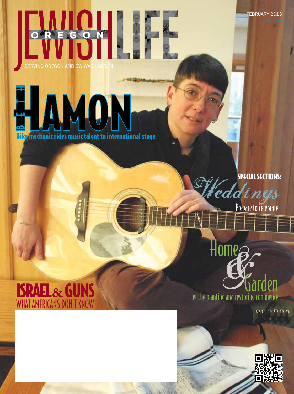FEBRUARY 2013

# REGON  $\bigcirc$ SERVING OREGON AND SW WASHINGTON

# BETH AMO **Bike mechanic rides music talent to international stage**

SPECIAL SECTIONS:

**Eddings**<br>Prepare to celebrate

#### ISRAEL**&**GUNS WHAT AMERICANS DON'T KN



 $\alpha$ 

Let the planting and restoring commence